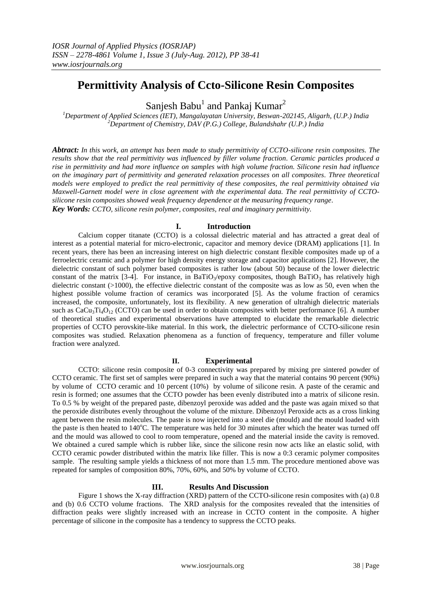# **Permittivity Analysis of Ccto-Silicone Resin Composites**

Sanjesh Babu<sup>1</sup> and Pankaj Kumar<sup>2</sup>

*<sup>1</sup>Department of Applied Sciences (IET), Mangalayatan University, Beswan-202145, Aligarh, (U.P.) India <sup>2</sup>Department of Chemistry, DAV (P.G.) College, Bulandshahr (U.P.) India*

*Abtract: In this work, an attempt has been made to study permittivity of CCTO-silicone resin composites. The results show that the real permittivity was influenced by filler volume fraction. Ceramic particles produced a rise in permittivity and had more influence on samples with high volume fraction. Silicone resin had influence on the imaginary part of permittivity and generated relaxation processes on all composites. Three theoretical models were employed to predict the real permittivity of these composites, the real permittivity obtained via Maxwell-Garnett model were in close agreement with the experimental data. The real permittivity of CCTOsilicone resin composites showed weak frequency dependence at the measuring frequency range.*

*Key Words: CCTO, silicone resin polymer, composites, real and imaginary permittivity.* 

## **I. Introduction**

Calcium copper titanate (CCTO) is a colossal dielectric material and has attracted a great deal of interest as a potential material for micro-electronic, capacitor and memory device (DRAM) applications [1]. In recent years, there has been an increasing interest on high dielectric constant flexible composites made up of a ferroelectric ceramic and a polymer for high density energy storage and capacitor applications [2]. However, the dielectric constant of such polymer based composites is rather low (about 50) because of the lower dielectric constant of the matrix [3-4]. For instance, in BaTiO<sub>3</sub>/epoxy composites, though BaTiO<sub>3</sub> has relatively high dielectric constant (>1000), the effective dielectric constant of the composite was as low as 50, even when the highest possible volume fraction of ceramics was incorporated [5]. As the volume fraction of ceramics increased, the composite, unfortunately, lost its flexibility. A new generation of ultrahigh dielectric materials such as  $CaCu<sub>3</sub>T<sub>4</sub>O<sub>12</sub>$  (CCTO) can be used in order to obtain composites with better performance [6]. A number of theoretical studies and experimental observations have attempted to elucidate the remarkable dielectric properties of CCTO perovskite-like material. In this work, the dielectric performance of CCTO-silicone resin composites was studied. Relaxation phenomena as a function of frequency, temperature and filler volume fraction were analyzed.

## **II. Experimental**

CCTO: silicone resin composite of 0-3 connectivity was prepared by mixing pre sintered powder of CCTO ceramic. The first set of samples were prepared in such a way that the material contains 90 percent (90%) by volume of CCTO ceramic and 10 percent (10%) by volume of silicone resin. A paste of the ceramic and resin is formed; one assumes that the CCTO powder has been evenly distributed into a matrix of silicone resin. To 0.5 % by weight of the prepared paste, dibenzoyl peroxide was added and the paste was again mixed so that the peroxide distributes evenly throughout the volume of the mixture. Dibenzoyl Peroxide acts as a cross linking agent between the resin molecules. The paste is now injected into a steel die (mould) and the mould loaded with the paste is then heated to 140°C. The temperature was held for 30 minutes after which the heater was turned off and the mould was allowed to cool to room temperature, opened and the material inside the cavity is removed. We obtained a cured sample which is rubber like, since the silicone resin now acts like an elastic solid, with CCTO ceramic powder distributed within the matrix like filler. This is now a 0:3 ceramic polymer composites sample. The resulting sample yields a thickness of not more than 1.5 mm. The procedure mentioned above was repeated for samples of composition 80%, 70%, 60%, and 50% by volume of CCTO.

# **III. Results And Discussion**

Figure 1 shows the X-ray diffraction (XRD) pattern of the CCTO-silicone resin composites with (a) 0.8 and (b) 0.6 CCTO volume fractions. The XRD analysis for the composites revealed that the intensities of diffraction peaks were slightly increased with an increase in CCTO content in the composite. A higher percentage of silicone in the composite has a tendency to suppress the CCTO peaks.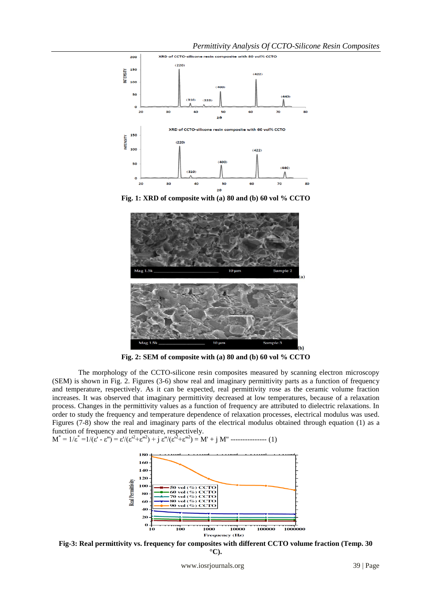*Permittivity Analysis Of CCTO-Silicone Resin Composites*



**Fig. 1: XRD of composite with (a) 80 and (b) 60 vol % CCTO**



**Fig. 2: SEM of composite with (a) 80 and (b) 60 vol % CCTO**

The morphology of the CCTO-silicone resin composites measured by scanning electron microscopy (SEM) is shown in Fig. 2. Figures (3-6) show real and imaginary permittivity parts as a function of frequency and temperature, respectively. As it can be expected, real permittivity rose as the ceramic volume fraction increases. It was observed that imaginary permittivity decreased at low temperatures, because of a relaxation process. Changes in the permittivity values as a function of frequency are attributed to dielectric relaxations. In order to study the frequency and temperature dependence of relaxation processes, electrical modulus was used. Figures (7-8) show the real and imaginary parts of the electrical modulus obtained through equation (1) as a function of frequency and temperature, respectively.

 $M^* = 1/\varepsilon^* = 1/(\varepsilon^* - \varepsilon^*) = \varepsilon^* / (\varepsilon^2 + \varepsilon^*^2) + j \varepsilon^* / (\varepsilon^2 + \varepsilon^*^2) = M^* + j M^*$  ---------------- (1)



**Fig-3: Real permittivity vs. frequency for composites with different CCTO volume fraction (Temp. 30 °C).**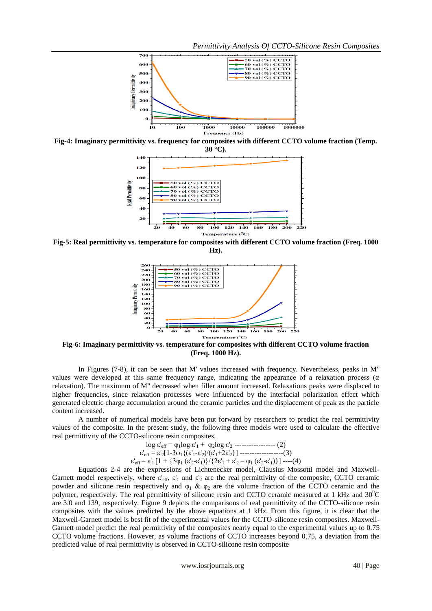*Permittivity Analysis Of CCTO-Silicone Resin Composites*



**Fig-4: Imaginary permittivity vs. frequency for composites with different CCTO volume fraction (Temp.** 



**Fig-5: Real permittivity vs. temperature for composites with different CCTO volume fraction (Freq. 1000 Hz).**



**Fig-6: Imaginary permittivity vs. temperature for composites with different CCTO volume fraction (Freq. 1000 Hz).**

In Figures (7-8), it can be seen that M' values increased with frequency. Nevertheless, peaks in M'' values were developed at this same frequency range, indicating the appearance of a relaxation process ( $\alpha$ ) relaxation). The maximum of M'' decreased when filler amount increased. Relaxations peaks were displaced to higher frequencies, since relaxation processes were influenced by the interfacial polarization effect which generated electric charge accumulation around the ceramic particles and the displacement of peak as the particle content increased.

A number of numerical models have been put forward by researchers to predict the real permittivity values of the composite. In the present study, the following three models were used to calculate the effective real permittivity of the CCTO-silicone resin composites.

$$
\log \varepsilon_{\rm eff} = \varphi_1 \log \varepsilon_1' + \varphi_2 \log \varepsilon_2' \dots (2)
$$
\n
$$
\varepsilon_{\rm eff} = \varepsilon_2' [1 - 3\varphi_1 \{ (\varepsilon_1' - \varepsilon_2') / (\varepsilon_1' + 2\varepsilon_2') \} ] \dots (3)
$$
\n
$$
\varepsilon_{\rm eff} = \varepsilon_1' [1 + \{ 3\varphi_1 (\varepsilon_2' - \varepsilon_1') \} / \{ 2\varepsilon_1' + \varepsilon_2' - \varphi_1 (\varepsilon_2' - \varepsilon_1') \} ] \dots (4)
$$

Equations 2-4 are the expressions of Lichtenecker model, Clausius Mossotti model and Maxwell-Garnett model respectively, where  $\varepsilon'_{\text{eff}}$ ,  $\varepsilon'_{1}$  and  $\varepsilon'_{2}$  are the real permittivity of the composite, CCTO ceramic powder and silicone resin respectively and  $\varphi_1 \& \varphi_2$  are the volume fraction of the CCTO ceramic and the polymer, respectively. The real permittivity of silicone resin and CCTO ceramic measured at 1 kHz and  $30^{\circ}$ C are 3.0 and 139, respectively. Figure 9 depicts the comparisons of real permittivity of the CCTO-silicone resin composites with the values predicted by the above equations at 1 kHz. From this figure, it is clear that the Maxwell-Garnett model is best fit of the experimental values for the CCTO-silicone resin composites. Maxwell-Garnett model predict the real permittivity of the composites nearly equal to the experimental values up to 0.75 CCTO volume fractions. However, as volume fractions of CCTO increases beyond 0.75, a deviation from the predicted value of real permittivity is observed in CCTO-silicone resin composite